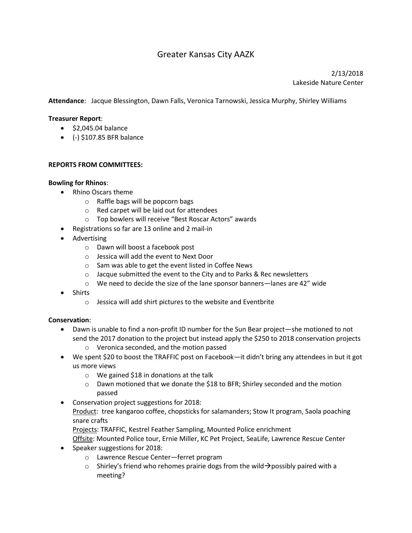# Greater Kansas City AAZK

2/13/2018 Lakeside Nature Center

**Attendance**: Jacque Blessington, Dawn Falls, Veronica Tarnowski, Jessica Murphy, Shirley Williams

#### **Treasurer Report**:

- $\bullet$  \$2,045.04 balance
- $\bullet$  (-) \$107.85 BFR balance

#### **REPORTS FROM COMMITTEES:**

#### **Bowling for Rhinos**:

- Rhino Oscars theme
	- o Raffle bags will be popcorn bags
	- o Red carpet will be laid out for attendees
	- o Top bowlers will receive "Best Roscar Actors" awards
- Registrations so far are 13 online and 2 mail-in
- Advertising
	- o Dawn will boost a facebook post
	- o Jessica will add the event to Next Door
	- o Sam was able to get the event listed in Coffee News
	- o Jacque submitted the event to the City and to Parks & Rec newsletters
	- o We need to decide the size of the lane sponsor banners—lanes are 42" wide
- Shirts
	- o Jessica will add shirt pictures to the website and Eventbrite

## **Conservation**:

- Dawn is unable to find a non-profit ID number for the Sun Bear project—she motioned to not send the 2017 donation to the project but instead apply the \$250 to 2018 conservation projects
	- o Veronica seconded, and the motion passed
- We spent \$20 to boost the TRAFFIC post on Facebook—it didn't bring any attendees in but it got us more views
	- o We gained \$18 in donations at the talk
	- o Dawn motioned that we donate the \$18 to BFR; Shirley seconded and the motion passed
- Conservation project suggestions for 2018:
	- Product: tree kangaroo coffee, chopsticks for salamanders; Stow It program, Saola poaching snare crafts

Projects: TRAFFIC, Kestrel Feather Sampling, Mounted Police enrichment

Offsite: Mounted Police tour, Ernie Miller, KC Pet Project, SeaLife, Lawrence Rescue Center • Speaker suggestions for 2018:

- o Lawrence Rescue Center—ferret program
- o Shirley's friend who rehomes prairie dogs from the wild  $\rightarrow$  possibly paired with a meeting?